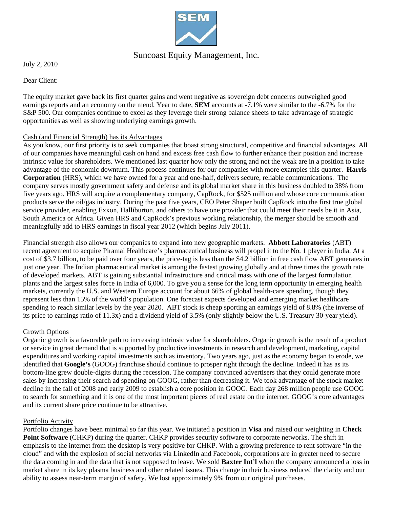

## Suncoast Equity Management, Inc.

July 2, 2010

Dear Client:

The equity market gave back its first quarter gains and went negative as sovereign debt concerns outweighed good earnings reports and an economy on the mend. Year to date, **SEM** accounts at -7.1% were similar to the -6.7% for the S&P 500. Our companies continue to excel as they leverage their strong balance sheets to take advantage of strategic opportunities as well as showing underlying earnings growth.

## Cash (and Financial Strength) has its Advantages

As you know, our first priority is to seek companies that boast strong structural, competitive and financial advantages. All of our companies have meaningful cash on hand and excess free cash flow to further enhance their position and increase intrinsic value for shareholders. We mentioned last quarter how only the strong and not the weak are in a position to take advantage of the economic downturn. This process continues for our companies with more examples this quarter. **Harris Corporation** (HRS), which we have owned for a year and one-half, delivers secure, reliable communications. The company serves mostly government safety and defense and its global market share in this business doubled to 38% from five years ago. HRS will acquire a complementary company, CapRock, for \$525 million and whose core communication products serve the oil/gas industry. During the past five years, CEO Peter Shaper built CapRock into the first true global service provider, enabling Exxon, Halliburton, and others to have one provider that could meet their needs be it in Asia, South America or Africa. Given HRS and CapRock's previous working relationship, the merger should be smooth and meaningfully add to HRS earnings in fiscal year 2012 (which begins July 2011).

Financial strength also allows our companies to expand into new geographic markets. **Abbott Laboratories** (ABT) recent agreement to acquire Piramal Healthcare's pharmaceutical business will propel it to the No. 1 player in India. At a cost of \$3.7 billion, to be paid over four years, the price-tag is less than the \$4.2 billion in free cash flow ABT generates in just one year. The Indian pharmaceutical market is among the fastest growing globally and at three times the growth rate of developed markets. ABT is gaining substantial infrastructure and critical mass with one of the largest formulation plants and the largest sales force in India of 6,000. To give you a sense for the long term opportunity in emerging health markets, currently the U.S. and Western Europe account for about 66% of global health-care spending, though they represent less than 15% of the world's population. One forecast expects developed and emerging market healthcare spending to reach similar levels by the year 2020. ABT stock is cheap sporting an earnings yield of 8.8% (the inverse of its price to earnings ratio of 11.3x) and a dividend yield of 3.5% (only slightly below the U.S. Treasury 30-year yield).

## Growth Options

Organic growth is a favorable path to increasing intrinsic value for shareholders. Organic growth is the result of a product or service in great demand that is supported by productive investments in research and development, marketing, capital expenditures and working capital investments such as inventory. Two years ago, just as the economy began to erode, we identified that **Google's** (GOOG) franchise should continue to prosper right through the decline. Indeed it has as its bottom-line grew double-digits during the recession. The company convinced advertisers that they could generate more sales by increasing their search ad spending on GOOG, rather than decreasing it. We took advantage of the stock market decline in the fall of 2008 and early 2009 to establish a core position in GOOG. Each day 268 million people use GOOG to search for something and it is one of the most important pieces of real estate on the internet. GOOG's core advantages and its current share price continue to be attractive.

## Portfolio Activity

Portfolio changes have been minimal so far this year. We initiated a position in **Visa** and raised our weighting in **Check**  Point Software (CHKP) during the quarter. CHKP provides security software to corporate networks. The shift in emphasis to the internet from the desktop is very positive for CHKP. With a growing preference to rent software "in the cloud" and with the explosion of social networks via LinkedIn and Facebook, corporations are in greater need to secure the data coming in and the data that is not supposed to leave. We sold **Baxter Int'l** when the company announced a loss in market share in its key plasma business and other related issues. This change in their business reduced the clarity and our ability to assess near-term margin of safety. We lost approximately 9% from our original purchases.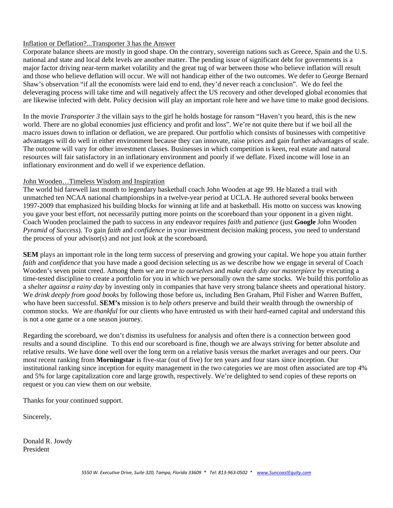## Inflation or Deflation?...Transporter 3 has the Answer

Corporate balance sheets are mostly in good shape. On the contrary, sovereign nations such as Greece, Spain and the U.S. national and state and local debt levels are another matter. The pending issue of significant debt for governments is a major factor driving near-term market volatility and the great tug of war between those who believe inflation will result and those who believe deflation will occur. We will not handicap either of the two outcomes. We defer to George Bernard Shaw's observation "if all the economists were laid end to end, they'd never reach a conclusion". We do feel the deleveraging process will take time and will negatively affect the US recovery and other developed global economies that are likewise infected with debt. Policy decision will play an important role here and we have time to make good decisions.

In the movie *Transporter 3* the villain says to the girl he holds hostage for ransom "Haven't you heard, this is the new world. There are no global economies just efficiency and profit and loss". We're not quite there but if we boil all the macro issues down to inflation or deflation, we are prepared. Our portfolio which consists of businesses with competitive advantages will do well in either environment because they can innovate, raise prices and gain further advantages of scale. The outcome will vary for other investment classes. Businesses in which competition is keen, real estate and natural resources will fair satisfactory in an inflationary environment and poorly if we deflate. Fixed income will lose in an inflationary environment and do well if we experience deflation.

#### John Wooden…Timeless Wisdom and Inspiration

The world bid farewell last month to legendary basketball coach John Wooden at age 99. He blazed a trail with unmatched ten NCAA national championships in a twelve-year period at UCLA. He authored several books between 1997-2009 that emphasized his building blocks for winning at life and at basketball. His motto on success was knowing you gave your best effort, not necessarily putting more points on the scoreboard than your opponent in a given night. Coach Wooden proclaimed the path to success in any endeavor requires *faith* and *patience* (just **Google** John Wooden *Pyramid of Success*). To gain *faith* and *confidence* in your investment decision making process, you need to understand the process of your advisor(s) and not just look at the scoreboard.

**SEM** plays an important role in the long term success of preserving and growing your capital. We hope you attain further *faith* and *confidence* that you have made a good decision selecting us as we describe how we engage in several of Coach Wooden's seven point creed. Among them we are *true to ourselves* and *make each day our masterpiece* by executing a time-tested discipline to create a portfolio for you in which we personally own the same stocks. We build this portfolio as a *shelter against a rainy day* by investing only in companies that have very strong balance sheets and operational history. We *drink deeply from good books* by following those before us, including Ben Graham, Phil Fisher and Warren Buffett, who have been successful. **SEM's** mission is to *help others* preserve and build their wealth through the ownership of common stocks. We are *thankful* for our clients who have entrusted us with their hard-earned capital and understand this is not a one game or a one season journey.

Regarding the scoreboard, we don't dismiss its usefulness for analysis and often there is a connection between good results and a sound discipline. To this end our scoreboard is fine, though we are always striving for better absolute and relative results. We have done well over the long term on a relative basis versus the market averages and our peers. Our most recent ranking from **Morningstar** is five-star (out of five) for ten years and four stars since inception. Our institutional ranking since inception for equity management in the two categories we are most often associated are top 4% and 5% for large capitalization core and large growth, respectively. We're delighted to send copies of these reports on request or you can view them on our website.

Thanks for your continued support.

Sincerely,

Donald R. Jowdy President